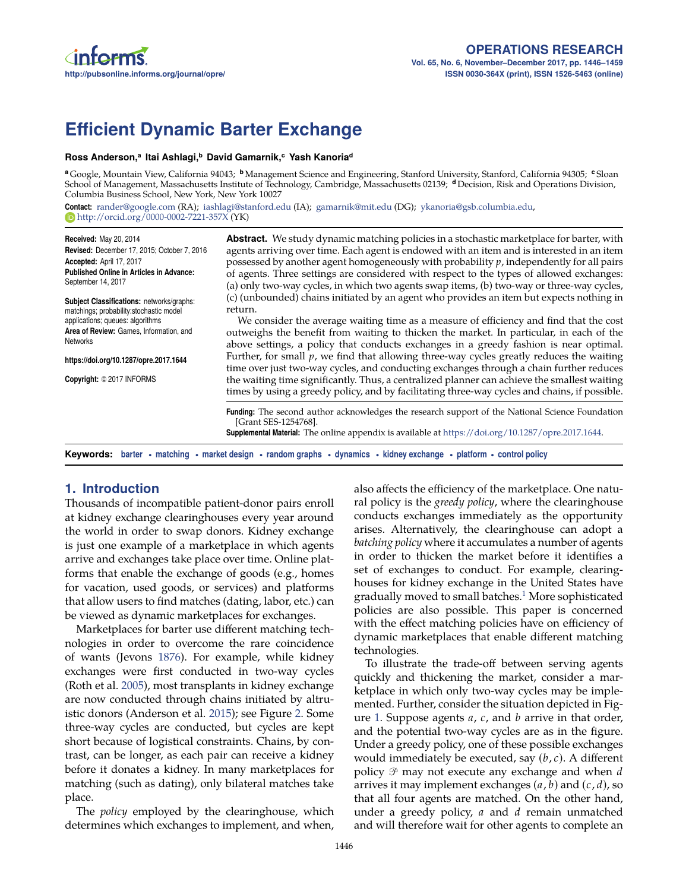# **Efficient Dynamic Barter Exchange**

#### **Ross Anderson,<sup>a</sup> Itai Ashlagi,<sup>b</sup> David Gamarnik,<sup>c</sup> Yash Kanoria<sup>d</sup>**

**<sup>a</sup>** Google, Mountain View, California 94043; **<sup>b</sup>** Management Science and Engineering, Stanford University, Stanford, California 94305; **<sup>c</sup>** Sloan School of Management, Massachusetts Institute of Technology, Cambridge, Massachusetts 02139; **<sup>d</sup>** Decision, Risk and Operations Division, Columbia Business School, New York, New York 10027

**Contact:** [rander@google.com](mailto:rander@google.com) (RA); [iashlagi@stanford.edu](mailto:iashlagi@stanford.edu) (IA); [gamarnik@mit.edu](mailto:gamarnik@mit.edu) (DG); [ykanoria@gsb.columbia.edu,](mailto:ykanoria@gsb.columbia.edu) <http://orcid.org/0000-0002-7221-357X> (YK)

| <b>Received: May 20, 2014</b><br>Revised: December 17, 2015; October 7, 2016<br>Accepted: April 17, 2017<br><b>Published Online in Articles in Advance:</b><br>September 14, 2017<br><b>Subject Classifications: networks/graphs:</b><br>matchings; probability: stochastic model<br>applications; queues: algorithms<br>Area of Review: Games, Information, and<br><b>Networks</b><br>https://doi.org/10.1287/opre.2017.1644<br>Copyright: © 2017 INFORMS | Abstract. We study dynamic matching policies in a stochastic marketplace for barter, with<br>agents arriving over time. Each agent is endowed with an item and is interested in an item<br>possessed by another agent homogeneously with probability $p$ , independently for all pairs<br>of agents. Three settings are considered with respect to the types of allowed exchanges:<br>(a) only two-way cycles, in which two agents swap items, (b) two-way or three-way cycles,<br>(c) (unbounded) chains initiated by an agent who provides an item but expects nothing in<br>return.<br>We consider the average waiting time as a measure of efficiency and find that the cost<br>outweighs the benefit from waiting to thicken the market. In particular, in each of the<br>above settings, a policy that conducts exchanges in a greedy fashion is near optimal.<br>Further, for small $p$ , we find that allowing three-way cycles greatly reduces the waiting<br>time over just two-way cycles, and conducting exchanges through a chain further reduces<br>the waiting time significantly. Thus, a centralized planner can achieve the smallest waiting<br>times by using a greedy policy, and by facilitating three-way cycles and chains, if possible. |
|------------------------------------------------------------------------------------------------------------------------------------------------------------------------------------------------------------------------------------------------------------------------------------------------------------------------------------------------------------------------------------------------------------------------------------------------------------|-----------------------------------------------------------------------------------------------------------------------------------------------------------------------------------------------------------------------------------------------------------------------------------------------------------------------------------------------------------------------------------------------------------------------------------------------------------------------------------------------------------------------------------------------------------------------------------------------------------------------------------------------------------------------------------------------------------------------------------------------------------------------------------------------------------------------------------------------------------------------------------------------------------------------------------------------------------------------------------------------------------------------------------------------------------------------------------------------------------------------------------------------------------------------------------------------------------------------------------------------------------------|
|                                                                                                                                                                                                                                                                                                                                                                                                                                                            | Funding: The second author acknowledges the research support of the National Science Foundation<br>[Grant SES-1254768].<br><b>Supplemental Material:</b> The online appendix is available at https://doi.org/10.1287/opre.2017.1644.                                                                                                                                                                                                                                                                                                                                                                                                                                                                                                                                                                                                                                                                                                                                                                                                                                                                                                                                                                                                                            |

Keywords: barter • matching • market design • random graphs • dynamics • kidney exchange • platform • control policy

# **1. Introduction**

Thousands of incompatible patient-donor pairs enroll at kidney exchange clearinghouses every year around the world in order to swap donors. Kidney exchange is just one example of a marketplace in which agents arrive and exchanges take place over time. Online platforms that enable the exchange of goods (e.g., homes for vacation, used goods, or services) and platforms that allow users to find matches (dating, labor, etc.) can be viewed as dynamic marketplaces for exchanges.

Marketplaces for barter use different matching technologies in order to overcome the rare coincidence of wants (Jevons [1876\)](#page-13-0). For example, while kidney exchanges were first conducted in two-way cycles (Roth et al. [2005\)](#page-13-1), most transplants in kidney exchange are now conducted through chains initiated by altruistic donors (Anderson et al. [2015\)](#page-13-2); see Figure [2.](#page-1-0) Some three-way cycles are conducted, but cycles are kept short because of logistical constraints. Chains, by contrast, can be longer, as each pair can receive a kidney before it donates a kidney. In many marketplaces for matching (such as dating), only bilateral matches take place.

The *policy* employed by the clearinghouse, which determines which exchanges to implement, and when, also affects the efficiency of the marketplace. One natural policy is the *greedy policy*, where the clearinghouse conducts exchanges immediately as the opportunity arises. Alternatively, the clearinghouse can adopt a *batching policy* where it accumulates a number of agents in order to thicken the market before it identifies a set of exchanges to conduct. For example, clearinghouses for kidney exchange in the United States have gradually moved to small batches.<sup>[1](#page-12-0)</sup> More sophisticated policies are also possible. This paper is concerned with the effect matching policies have on efficiency of dynamic marketplaces that enable different matching technologies.

<span id="page-0-0"></span>To illustrate the trade-off between serving agents quickly and thickening the market, consider a marketplace in which only two-way cycles may be implemented. Further, consider the situation depicted in Figure [1.](#page-1-1) Suppose agents *a*, *c*, and *b* arrive in that order, and the potential two-way cycles are as in the figure. Under a greedy policy, one of these possible exchanges would immediately be executed, say (*b*, *c*). A different policy P may not execute any exchange and when *d* arrives it may implement exchanges (*a*, *b*) and (*c*, *d*), so that all four agents are matched. On the other hand, under a greedy policy, *a* and *d* remain unmatched and will therefore wait for other agents to complete an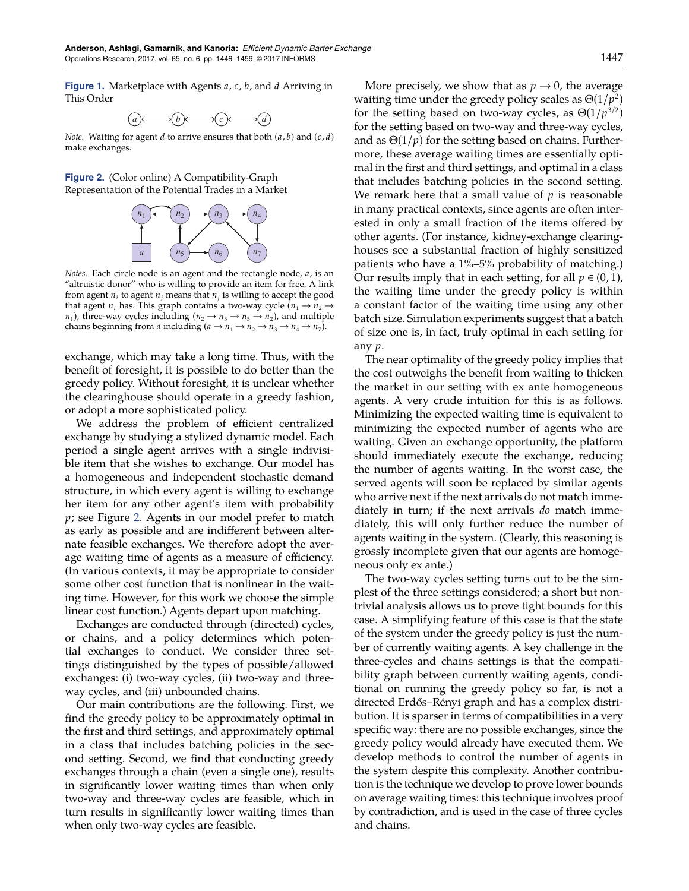**Figure 1.** Marketplace with Agents *a*, *c*, *b*, and *d* Arriving in This Order

<span id="page-1-1"></span>

*Note.* Waiting for agent *d* to arrive ensures that both (*a*, *b*) and (*c*, *d*) make exchanges.

**Figure 2.** (Color online) A Compatibility-Graph Representation of the Potential Trades in a Market

<span id="page-1-0"></span>

*Notes.* Each circle node is an agent and the rectangle node, *a*, is an "altruistic donor" who is willing to provide an item for free. A link from agent  $n_i$  to agent  $n_j$  means that  $n_j$  is willing to accept the good that agent *n<sub>i</sub>* has. This graph contains a two-way cycle  $(n_1 \rightarrow n_2 \rightarrow$ *n*<sub>1</sub>), three-way cycles including  $(n_2 \rightarrow n_3 \rightarrow n_5 \rightarrow n_2)$ , and multiple chains beginning from *a* including  $(a \rightarrow n_1 \rightarrow n_2 \rightarrow n_3 \rightarrow n_4 \rightarrow n_7)$ .

exchange, which may take a long time. Thus, with the benefit of foresight, it is possible to do better than the greedy policy. Without foresight, it is unclear whether the clearinghouse should operate in a greedy fashion, or adopt a more sophisticated policy.

We address the problem of efficient centralized exchange by studying a stylized dynamic model. Each period a single agent arrives with a single indivisible item that she wishes to exchange. Our model has a homogeneous and independent stochastic demand structure, in which every agent is willing to exchange her item for any other agent's item with probability *p*; see Figure [2.](#page-1-0) Agents in our model prefer to match as early as possible and are indifferent between alternate feasible exchanges. We therefore adopt the average waiting time of agents as a measure of efficiency. (In various contexts, it may be appropriate to consider some other cost function that is nonlinear in the waiting time. However, for this work we choose the simple linear cost function.) Agents depart upon matching.

Exchanges are conducted through (directed) cycles, or chains, and a policy determines which potential exchanges to conduct. We consider three settings distinguished by the types of possible/allowed exchanges: (i) two-way cycles, (ii) two-way and threeway cycles, and (iii) unbounded chains.

Our main contributions are the following. First, we find the greedy policy to be approximately optimal in the first and third settings, and approximately optimal in a class that includes batching policies in the second setting. Second, we find that conducting greedy exchanges through a chain (even a single one), results in significantly lower waiting times than when only two-way and three-way cycles are feasible, which in turn results in significantly lower waiting times than when only two-way cycles are feasible.

More precisely, we show that as  $p \rightarrow 0$ , the average waiting time under the greedy policy scales as  $\Theta(1/p^2)$ for the setting based on two-way cycles, as  $\Theta(1/p^{3/2})$ for the setting based on two-way and three-way cycles, and as  $\Theta(1/p)$  for the setting based on chains. Furthermore, these average waiting times are essentially optimal in the first and third settings, and optimal in a class that includes batching policies in the second setting. We remark here that a small value of *p* is reasonable in many practical contexts, since agents are often interested in only a small fraction of the items offered by other agents. (For instance, kidney-exchange clearinghouses see a substantial fraction of highly sensitized patients who have a 1%–5% probability of matching.) Our results imply that in each setting, for all  $p \in (0, 1)$ , the waiting time under the greedy policy is within a constant factor of the waiting time using any other batch size. Simulation experiments suggest that a batch of size one is, in fact, truly optimal in each setting for any *p*.

The near optimality of the greedy policy implies that the cost outweighs the benefit from waiting to thicken the market in our setting with ex ante homogeneous agents. A very crude intuition for this is as follows. Minimizing the expected waiting time is equivalent to minimizing the expected number of agents who are waiting. Given an exchange opportunity, the platform should immediately execute the exchange, reducing the number of agents waiting. In the worst case, the served agents will soon be replaced by similar agents who arrive next if the next arrivals do not match immediately in turn; if the next arrivals *do* match immediately, this will only further reduce the number of agents waiting in the system. (Clearly, this reasoning is grossly incomplete given that our agents are homogeneous only ex ante.)

The two-way cycles setting turns out to be the simplest of the three settings considered; a short but nontrivial analysis allows us to prove tight bounds for this case. A simplifying feature of this case is that the state of the system under the greedy policy is just the number of currently waiting agents. A key challenge in the three-cycles and chains settings is that the compatibility graph between currently waiting agents, conditional on running the greedy policy so far, is not a directed Erdős–Rényi graph and has a complex distribution. It is sparser in terms of compatibilities in a very specific way: there are no possible exchanges, since the greedy policy would already have executed them. We develop methods to control the number of agents in the system despite this complexity. Another contribution is the technique we develop to prove lower bounds on average waiting times: this technique involves proof by contradiction, and is used in the case of three cycles and chains.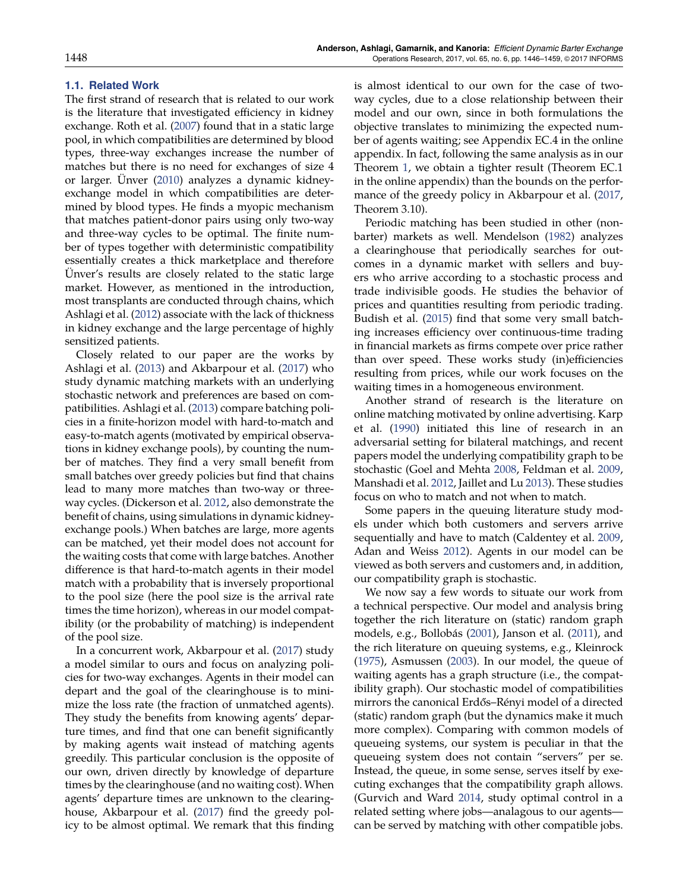## **1.1. Related Work**

The first strand of research that is related to our work is the literature that investigated efficiency in kidney exchange. Roth et al. [\(2007\)](#page-13-3) found that in a static large pool, in which compatibilities are determined by blood types, three-way exchanges increase the number of matches but there is no need for exchanges of size 4 or larger. Ünver [\(2010\)](#page-13-4) analyzes a dynamic kidneyexchange model in which compatibilities are determined by blood types. He finds a myopic mechanism that matches patient-donor pairs using only two-way and three-way cycles to be optimal. The finite number of types together with deterministic compatibility essentially creates a thick marketplace and therefore Ünver's results are closely related to the static large market. However, as mentioned in the introduction, most transplants are conducted through chains, which Ashlagi et al. [\(2012\)](#page-13-5) associate with the lack of thickness in kidney exchange and the large percentage of highly sensitized patients.

Closely related to our paper are the works by Ashlagi et al. [\(2013\)](#page-13-6) and Akbarpour et al. [\(2017\)](#page-12-1) who study dynamic matching markets with an underlying stochastic network and preferences are based on compatibilities. Ashlagi et al. [\(2013\)](#page-13-6) compare batching policies in a finite-horizon model with hard-to-match and easy-to-match agents (motivated by empirical observations in kidney exchange pools), by counting the number of matches. They find a very small benefit from small batches over greedy policies but find that chains lead to many more matches than two-way or threeway cycles. (Dickerson et al. [2012,](#page-13-7) also demonstrate the benefit of chains, using simulations in dynamic kidneyexchange pools.) When batches are large, more agents can be matched, yet their model does not account for the waiting costs that come with large batches. Another difference is that hard-to-match agents in their model match with a probability that is inversely proportional to the pool size (here the pool size is the arrival rate times the time horizon), whereas in our model compatibility (or the probability of matching) is independent of the pool size.

In a concurrent work, Akbarpour et al. [\(2017\)](#page-12-1) study a model similar to ours and focus on analyzing policies for two-way exchanges. Agents in their model can depart and the goal of the clearinghouse is to minimize the loss rate (the fraction of unmatched agents). They study the benefits from knowing agents' departure times, and find that one can benefit significantly by making agents wait instead of matching agents greedily. This particular conclusion is the opposite of our own, driven directly by knowledge of departure times by the clearinghouse (and no waiting cost). When agents' departure times are unknown to the clearinghouse, Akbarpour et al. [\(2017\)](#page-12-1) find the greedy policy to be almost optimal. We remark that this finding

is almost identical to our own for the case of twoway cycles, due to a close relationship between their model and our own, since in both formulations the objective translates to minimizing the expected number of agents waiting; see Appendix EC.4 in the online appendix. In fact, following the same analysis as in our Theorem [1,](#page-5-0) we obtain a tighter result (Theorem EC.1 in the online appendix) than the bounds on the performance of the greedy policy in Akbarpour et al. [\(2017,](#page-12-1) Theorem 3.10).

Periodic matching has been studied in other (nonbarter) markets as well. Mendelson [\(1982\)](#page-13-8) analyzes a clearinghouse that periodically searches for outcomes in a dynamic market with sellers and buyers who arrive according to a stochastic process and trade indivisible goods. He studies the behavior of prices and quantities resulting from periodic trading. Budish et al. [\(2015\)](#page-13-9) find that some very small batching increases efficiency over continuous-time trading in financial markets as firms compete over price rather than over speed. These works study (in)efficiencies resulting from prices, while our work focuses on the waiting times in a homogeneous environment.

Another strand of research is the literature on online matching motivated by online advertising. Karp et al. [\(1990\)](#page-13-10) initiated this line of research in an adversarial setting for bilateral matchings, and recent papers model the underlying compatibility graph to be stochastic (Goel and Mehta [2008,](#page-13-11) Feldman et al. [2009,](#page-13-12) Manshadi et al. [2012,](#page-13-13) Jaillet and Lu [2013\)](#page-13-14). These studies focus on who to match and not when to match.

Some papers in the queuing literature study models under which both customers and servers arrive sequentially and have to match (Caldentey et al. [2009,](#page-13-15) Adan and Weiss [2012\)](#page-12-2). Agents in our model can be viewed as both servers and customers and, in addition, our compatibility graph is stochastic.

We now say a few words to situate our work from a technical perspective. Our model and analysis bring together the rich literature on (static) random graph models, e.g., Bollobás [\(2001\)](#page-13-16), Janson et al. [\(2011\)](#page-13-17), and the rich literature on queuing systems, e.g., Kleinrock [\(1975\)](#page-13-18), Asmussen [\(2003\)](#page-13-19). In our model, the queue of waiting agents has a graph structure (i.e., the compatibility graph). Our stochastic model of compatibilities mirrors the canonical Erdős–Rényi model of a directed (static) random graph (but the dynamics make it much more complex). Comparing with common models of queueing systems, our system is peculiar in that the queueing system does not contain "servers" per se. Instead, the queue, in some sense, serves itself by executing exchanges that the compatibility graph allows. (Gurvich and Ward [2014,](#page-13-20) study optimal control in a related setting where jobs—analagous to our agents can be served by matching with other compatible jobs.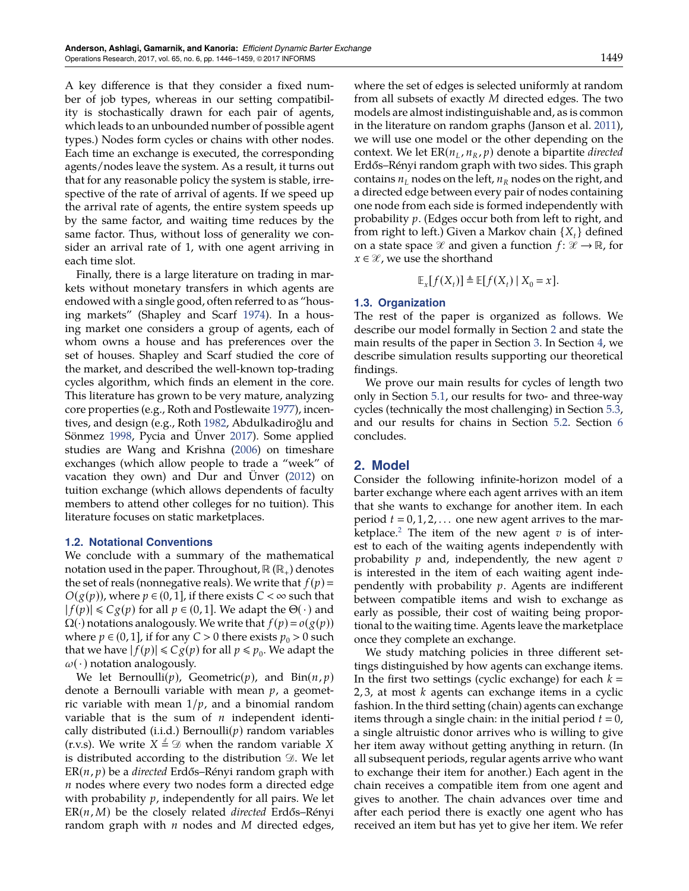A key difference is that they consider a fixed number of job types, whereas in our setting compatibility is stochastically drawn for each pair of agents, which leads to an unbounded number of possible agent types.) Nodes form cycles or chains with other nodes. Each time an exchange is executed, the corresponding agents/nodes leave the system. As a result, it turns out that for any reasonable policy the system is stable, irrespective of the rate of arrival of agents. If we speed up the arrival rate of agents, the entire system speeds up by the same factor, and waiting time reduces by the same factor. Thus, without loss of generality we consider an arrival rate of 1, with one agent arriving in each time slot.

Finally, there is a large literature on trading in markets without monetary transfers in which agents are endowed with a single good, often referred to as "housing markets" (Shapley and Scarf [1974\)](#page-13-21). In a housing market one considers a group of agents, each of whom owns a house and has preferences over the set of houses. Shapley and Scarf studied the core of the market, and described the well-known top-trading cycles algorithm, which finds an element in the core. This literature has grown to be very mature, analyzing core properties (e.g., Roth and Postlewaite [1977\)](#page-13-22), incentives, and design (e.g., Roth [1982,](#page-13-23) Abdulkadiroğlu and Sönmez [1998,](#page-12-3) Pycia and Ünver [2017\)](#page-13-24). Some applied studies are Wang and Krishna [\(2006\)](#page-13-25) on timeshare exchanges (which allow people to trade a "week" of vacation they own) and Dur and Ünver [\(2012\)](#page-13-26) on tuition exchange (which allows dependents of faculty members to attend other colleges for no tuition). This literature focuses on static marketplaces.

## **1.2. Notational Conventions**

We conclude with a summary of the mathematical notation used in the paper. Throughout,  $\mathbb{R}\left(\mathbb{R}_{+}\right)$  denotes the set of reals (nonnegative reals). We write that  $f(p)$  =  $O(g(p))$ , where  $p \in (0, 1]$ , if there exists  $C < \infty$  such that  $|f(p)| \leq C g(p)$  for all  $p \in (0,1]$ . We adapt the  $\Theta(\cdot)$  and  $\Omega(\cdot)$  notations analogously. We write that  $f(p) = o(g(p))$ where  $p \in (0, 1]$ , if for any  $C > 0$  there exists  $p_0 > 0$  such that we have  $|f(p)| \leqslant C g(p)$  for all  $p \leqslant p_0$ . We adapt the  $\omega(\cdot)$  notation analogously.

We let Bernoulli(*p*), Geometric(*p*), and Bin(*n*, *p*) denote a Bernoulli variable with mean *p*, a geometric variable with mean  $1/p$ , and a binomial random variable that is the sum of *n* independent identically distributed (i.i.d.) Bernoulli(*p*) random variables (r.v.s). We write  $X \stackrel{d}{=} \mathcal{D}$  when the random variable *X* is distributed according to the distribution  $\mathcal{D}$ . We let ER(*n*, *p*) be a *directed* Erdős–Rényi random graph with *n* nodes where every two nodes form a directed edge with probability *p*, independently for all pairs. We let ER(*n*, *M*) be the closely related *directed* Erdős–Rényi random graph with *n* nodes and *M* directed edges,

where the set of edges is selected uniformly at random from all subsets of exactly *M* directed edges. The two models are almost indistinguishable and, as is common in the literature on random graphs (Janson et al. [2011\)](#page-13-17), we will use one model or the other depending on the context. We let ER(*n<sup>L</sup>* , *n<sup>R</sup>* , *p*) denote a bipartite *directed* Erdős–Rényi random graph with two sides. This graph contains  $n_L$  nodes on the left,  $n_R$  nodes on the right, and a directed edge between every pair of nodes containing one node from each side is formed independently with probability *p*. (Edges occur both from left to right, and from right to left.) Given a Markov chain  $\{X_t\}$  defined on a state space  $\mathcal X$  and given a function  $f: \mathcal X \to \mathbb R$ , for  $x \in \mathcal{X}$ , we use the shorthand

$$
\mathbb{E}_x[f(X_t)] \triangleq \mathbb{E}[f(X_t) | X_0 = x].
$$

# **1.3. Organization**

The rest of the paper is organized as follows. We describe our model formally in Section [2](#page-3-0) and state the main results of the paper in Section [3.](#page-5-1) In Section [4,](#page-6-0) we describe simulation results supporting our theoretical findings.

We prove our main results for cycles of length two only in Section [5.1,](#page-8-0) our results for two- and three-way cycles (technically the most challenging) in Section [5.3,](#page-10-0) and our results for chains in Section [5.2.](#page-9-0) Section [6](#page-11-0) concludes.

# <span id="page-3-0"></span>**2. Model**

<span id="page-3-1"></span>Consider the following infinite-horizon model of a barter exchange where each agent arrives with an item that she wants to exchange for another item. In each period  $t = 0, 1, 2, \ldots$  one new agent arrives to the mar-ketplace.<sup>[2](#page-12-4)</sup> The item of the new agent  $v$  is of interest to each of the waiting agents independently with probability *p* and, independently, the new agent *v* is interested in the item of each waiting agent independently with probability *p*. Agents are indifferent between compatible items and wish to exchange as early as possible, their cost of waiting being proportional to the waiting time. Agents leave the marketplace once they complete an exchange.

We study matching policies in three different settings distinguished by how agents can exchange items. In the first two settings (cyclic exchange) for each *k* 2, 3, at most *k* agents can exchange items in a cyclic fashion. In the third setting (chain) agents can exchange items through a single chain: in the initial period  $t = 0$ , a single altruistic donor arrives who is willing to give her item away without getting anything in return. (In all subsequent periods, regular agents arrive who want to exchange their item for another.) Each agent in the chain receives a compatible item from one agent and gives to another. The chain advances over time and after each period there is exactly one agent who has received an item but has yet to give her item. We refer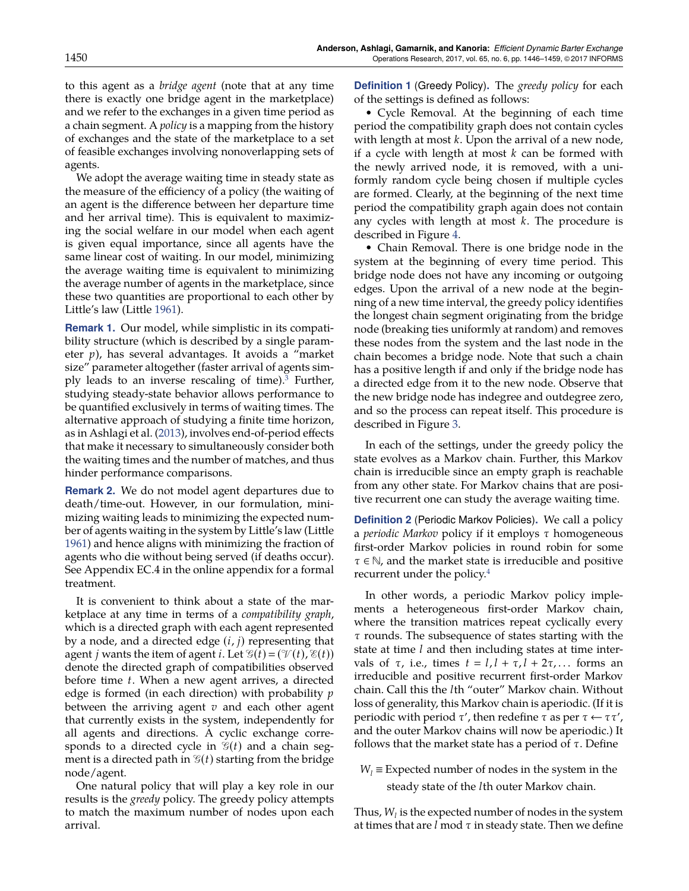to this agent as a *bridge agent* (note that at any time there is exactly one bridge agent in the marketplace) and we refer to the exchanges in a given time period as a chain segment. A *policy* is a mapping from the history of exchanges and the state of the marketplace to a set of feasible exchanges involving nonoverlapping sets of agents.

We adopt the average waiting time in steady state as the measure of the efficiency of a policy (the waiting of an agent is the difference between her departure time and her arrival time). This is equivalent to maximizing the social welfare in our model when each agent is given equal importance, since all agents have the same linear cost of waiting. In our model, minimizing the average waiting time is equivalent to minimizing the average number of agents in the marketplace, since these two quantities are proportional to each other by Little's law (Little [1961\)](#page-13-27).

**Remark 1.** Our model, while simplistic in its compatibility structure (which is described by a single parameter *p*), has several advantages. It avoids a "market size" parameter altogether (faster arrival of agents simply leads to an inverse rescaling of time). $3$  Further, studying steady-state behavior allows performance to be quantified exclusively in terms of waiting times. The alternative approach of studying a finite time horizon, as in Ashlagi et al. [\(2013\)](#page-13-6), involves end-of-period effects that make it necessary to simultaneously consider both the waiting times and the number of matches, and thus hinder performance comparisons.

**Remark 2.** We do not model agent departures due to death/time-out. However, in our formulation, minimizing waiting leads to minimizing the expected number of agents waiting in the system by Little's law (Little [1961\)](#page-13-27) and hence aligns with minimizing the fraction of agents who die without being served (if deaths occur). See Appendix EC.4 in the online appendix for a formal treatment.

It is convenient to think about a state of the marketplace at any time in terms of a *compatibility graph*, which is a directed graph with each agent represented by a node, and a directed edge (*i*, *j*) representing that agent *j* wants the item of agent *i*. Let  $\mathcal{G}(t) = (\mathcal{V}(t), \mathcal{E}(t))$ denote the directed graph of compatibilities observed before time *t*. When a new agent arrives, a directed edge is formed (in each direction) with probability *p* between the arriving agent *v* and each other agent that currently exists in the system, independently for all agents and directions. A cyclic exchange corresponds to a directed cycle in  $\mathcal{G}(t)$  and a chain segment is a directed path in  $\mathcal{G}(t)$  starting from the bridge node/agent.

<span id="page-4-0"></span>One natural policy that will play a key role in our results is the *greedy* policy. The greedy policy attempts to match the maximum number of nodes upon each arrival.

**Definition 1** (Greedy Policy)**.** The *greedy policy* for each of the settings is defined as follows:

• Cycle Removal. At the beginning of each time period the compatibility graph does not contain cycles with length at most *k*. Upon the arrival of a new node, if a cycle with length at most *k* can be formed with the newly arrived node, it is removed, with a uniformly random cycle being chosen if multiple cycles are formed. Clearly, at the beginning of the next time period the compatibility graph again does not contain any cycles with length at most *k*. The procedure is described in Figure [4.](#page-5-2)

• Chain Removal. There is one bridge node in the system at the beginning of every time period. This bridge node does not have any incoming or outgoing edges. Upon the arrival of a new node at the beginning of a new time interval, the greedy policy identifies the longest chain segment originating from the bridge node (breaking ties uniformly at random) and removes these nodes from the system and the last node in the chain becomes a bridge node. Note that such a chain has a positive length if and only if the bridge node has a directed edge from it to the new node. Observe that the new bridge node has indegree and outdegree zero, and so the process can repeat itself. This procedure is described in Figure [3.](#page-5-3)

<span id="page-4-2"></span>In each of the settings, under the greedy policy the state evolves as a Markov chain. Further, this Markov chain is irreducible since an empty graph is reachable from any other state. For Markov chains that are positive recurrent one can study the average waiting time.

<span id="page-4-1"></span>**Definition 2** (Periodic Markov Policies)**.** We call a policy a *periodic Markov* policy if it employs τ homogeneous first-order Markov policies in round robin for some  $\tau \in \mathbb{N}$ , and the market state is irreducible and positive recurrent under the policy.<sup>[4](#page-12-6)</sup>

<span id="page-4-3"></span>In other words, a periodic Markov policy implements a heterogeneous first-order Markov chain, where the transition matrices repeat cyclically every  $\tau$  rounds. The subsequence of states starting with the state at time *l* and then including states at time intervals of  $\tau$ , i.e., times  $t = l$ ,  $l + \tau$ ,  $l + 2\tau$ ,... forms an irreducible and positive recurrent first-order Markov chain. Call this the *l*th "outer" Markov chain. Without loss of generality, this Markov chain is aperiodic. (If it is periodic with period τ', then redefine τ as per  $\tau \leftarrow \tau \tau'$ , and the outer Markov chains will now be aperiodic.) It follows that the market state has a period of  $\tau$ . Define

*W*<sup>*l*</sup> ≡ Expected number of nodes in the system in the steady state of the *l*th outer Markov chain.

Thus,  $W_l$  is the expected number of nodes in the system at times that are  $l$  mod  $\tau$  in steady state. Then we define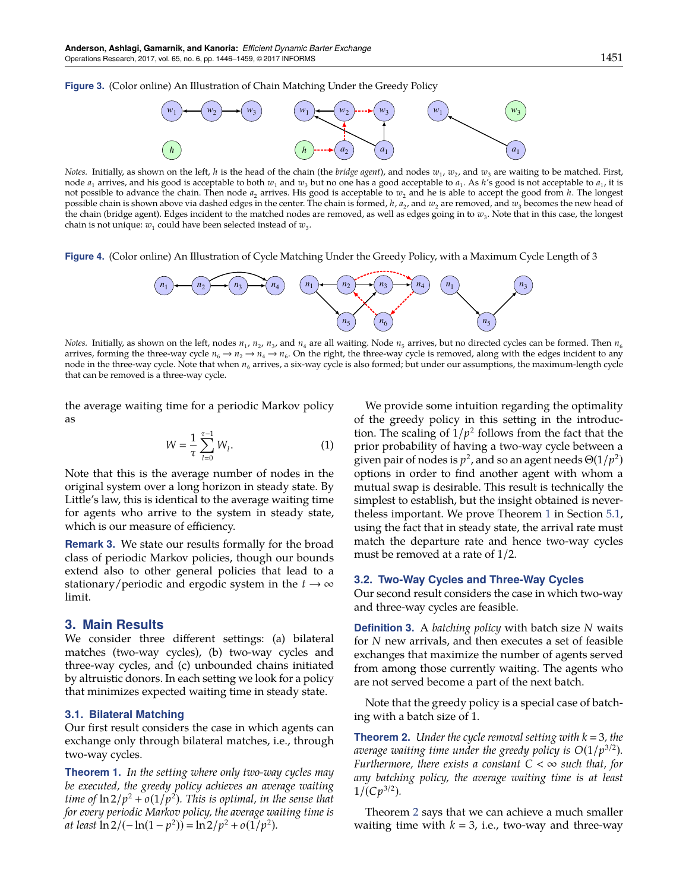**Figure 3.** (Color online) An Illustration of Chain Matching Under the Greedy Policy

<span id="page-5-3"></span>

*Notes.* Initially, as shown on the left, *h* is the head of the chain (the *bridge agent*), and nodes *w*<sup>1</sup> , *w*<sup>2</sup> , and *w*<sup>3</sup> are waiting to be matched. First, node  $a_1$  arrives, and his good is acceptable to both  $w_1$  and  $w_3$  but no one has a good acceptable to  $a_1.$  As  $h$ 's good is not acceptable to  $a_1$ , it is not possible to advance the chain. Then node  $a_2$  arrives. His good is acceptable to  $w_2$  and he is able to accept the good from *h*. The longest possible chain is shown above via dashed edges in the center. The chain is formed*, h, a<sub>2</sub>,* and  $w_2$  are removed, and  $w_3$  becomes the new head of the chain (bridge agent). Edges incident to the matched nodes are removed, as well as edges going in to  $w_3$ . Note that in this case, the longest chain is not unique:  $w_1$  could have been selected instead of  $w_3$ .

**Figure 4.** (Color online) An Illustration of Cycle Matching Under the Greedy Policy, with a Maximum Cycle Length of 3

<span id="page-5-2"></span>

*Notes.* Initially, as shown on the left, nodes  $n_1$ ,  $n_2$ ,  $n_3$ , and  $n_4$  are all waiting. Node  $n_5$  arrives, but no directed cycles can be formed. Then  $n_6$ arrives, forming the three-way cycle  $n_6 \to n_2 \to n_4 \to n_6$ . On the right, the three-way cycle is removed, along with the edges incident to any node in the three-way cycle. Note that when  $n_6$  arrives, a six-way cycle is also formed; but under our assumptions, the maximum-length cycle that can be removed is a three-way cycle.

the average waiting time for a periodic Markov policy as

$$
W = \frac{1}{\tau} \sum_{l=0}^{\tau-1} W_l.
$$
 (1)

Note that this is the average number of nodes in the original system over a long horizon in steady state. By Little's law, this is identical to the average waiting time for agents who arrive to the system in steady state, which is our measure of efficiency.

**Remark 3.** We state our results formally for the broad class of periodic Markov policies, though our bounds extend also to other general policies that lead to a stationary/periodic and ergodic system in the  $t \to \infty$ limit.

# <span id="page-5-1"></span>**3. Main Results**

We consider three different settings: (a) bilateral matches (two-way cycles), (b) two-way cycles and three-way cycles, and (c) unbounded chains initiated by altruistic donors. In each setting we look for a policy that minimizes expected waiting time in steady state.

#### **3.1. Bilateral Matching**

Our first result considers the case in which agents can exchange only through bilateral matches, i.e., through two-way cycles.

<span id="page-5-0"></span>**Theorem 1.** *In the setting where only two-way cycles may be executed, the greedy policy achieves an average waiting time of*  $\ln 2/p^2 + o(1/p^2)$ . This is optimal, in the sense that *for every periodic Markov policy, the average waiting time is*  $\int \frac{dx}{\ln 2}$   $\ln 2 / (-\ln(1-p^2)) = \ln 2/p^2 + o(1/p^2)$ .

We provide some intuition regarding the optimality of the greedy policy in this setting in the introduction. The scaling of  $1/p^2$  follows from the fact that the prior probability of having a two-way cycle between a given pair of nodes is  $p^2$ , and so an agent needs  $\Theta(1/p^2)$ options in order to find another agent with whom a mutual swap is desirable. This result is technically the simplest to establish, but the insight obtained is nevertheless important. We prove Theorem [1](#page-5-0) in Section [5.1,](#page-8-0) using the fact that in steady state, the arrival rate must match the departure rate and hence two-way cycles must be removed at a rate of 1/2.

#### **3.2. Two-Way Cycles and Three-Way Cycles**

Our second result considers the case in which two-way and three-way cycles are feasible.

**Definition 3.** A *batching policy* with batch size *N* waits for *N* new arrivals, and then executes a set of feasible exchanges that maximize the number of agents served from among those currently waiting. The agents who are not served become a part of the next batch.

Note that the greedy policy is a special case of batching with a batch size of 1.

<span id="page-5-4"></span>**Theorem 2.** *Under the cycle removal setting with*  $k = 3$ *, the average waiting time under the greedy policy is*  $O(1/p^{3/2})$ *. Furthermore, there exists a constant*  $C < \infty$  *such that, for any batching policy, the average waiting time is at least*  $1/(Cp^{3/2})$ .

Theorem [2](#page-5-4) says that we can achieve a much smaller waiting time with  $k = 3$ , i.e., two-way and three-way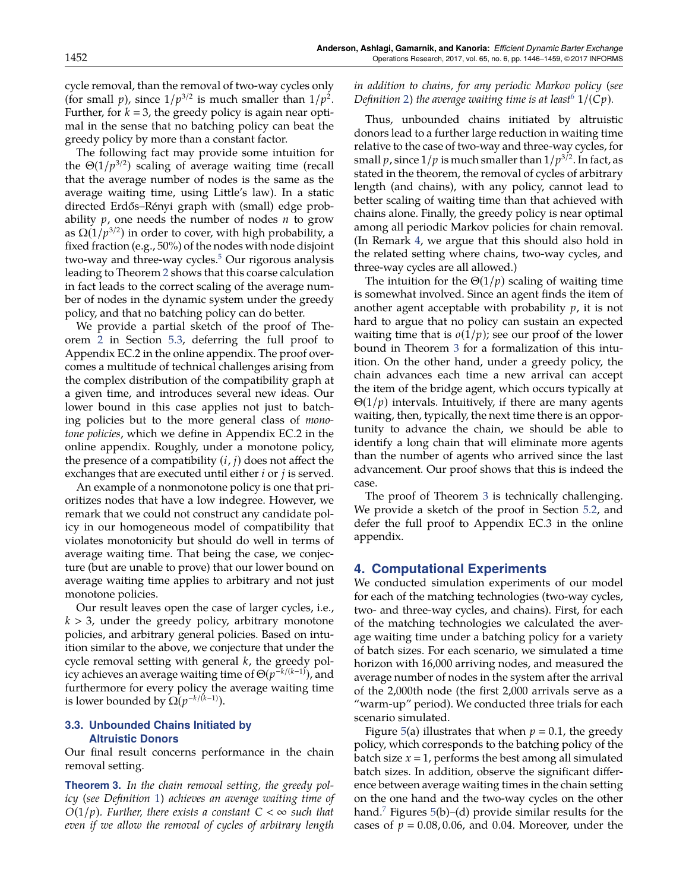cycle removal, than the removal of two-way cycles only (for small *p*), since  $1/p^{3/2}$  is much smaller than  $1/p^2$ . Further, for  $k = 3$ , the greedy policy is again near optimal in the sense that no batching policy can beat the greedy policy by more than a constant factor.

The following fact may provide some intuition for the  $\Theta(1/p^{3/2})$  scaling of average waiting time (recall that the average number of nodes is the same as the average waiting time, using Little's law). In a static directed Erdős–Rényi graph with (small) edge probability *p*, one needs the number of nodes *n* to grow as  $\Omega(1/p^{3/2})$  in order to cover, with high probability, a fixed fraction (e.g., 50%) of the nodes with node disjoint two-way and three-way cycles.<sup>[5](#page-12-7)</sup> Our rigorous analysis leading to Theorem [2](#page-5-4) shows that this coarse calculation in fact leads to the correct scaling of the average number of nodes in the dynamic system under the greedy policy, and that no batching policy can do better.

We provide a partial sketch of the proof of Theorem [2](#page-5-4) in Section [5.3,](#page-10-0) deferring the full proof to Appendix EC.2 in the online appendix. The proof overcomes a multitude of technical challenges arising from the complex distribution of the compatibility graph at a given time, and introduces several new ideas. Our lower bound in this case applies not just to batching policies but to the more general class of *monotone policies*, which we define in Appendix EC.2 in the online appendix. Roughly, under a monotone policy, the presence of a compatibility (*i*, *j*) does not affect the exchanges that are executed until either *i* or *j* is served.

An example of a nonmonotone policy is one that prioritizes nodes that have a low indegree. However, we remark that we could not construct any candidate policy in our homogeneous model of compatibility that violates monotonicity but should do well in terms of average waiting time. That being the case, we conjecture (but are unable to prove) that our lower bound on average waiting time applies to arbitrary and not just monotone policies.

Our result leaves open the case of larger cycles, i.e.,  $k > 3$ , under the greedy policy, arbitrary monotone policies, and arbitrary general policies. Based on intuition similar to the above, we conjecture that under the cycle removal setting with general *k*, the greedy policy achieves an average waiting time of Θ(*p* −*k*/(*k*−1) ), and furthermore for every policy the average waiting time is lower bounded by  $\Omega(p^{-k/(k-1)})$ .

# **3.3. Unbounded Chains Initiated by Altruistic Donors**

Our final result concerns performance in the chain removal setting.

<span id="page-6-1"></span>**Theorem 3.** *In the chain removal setting, the greedy policy (see Definition [1\)](#page-4-0) achieves an average waiting time of O*( $1/p$ )*. Further, there exists a constant*  $C < \infty$  *such that even if we allow the removal of cycles of arbitrary length*

<span id="page-6-3"></span>*in addition to chains, for any periodic Markov policy (see Definition* [2\)](#page-4-1) *the average waiting time is at least*<sup>[6](#page-12-8)</sup>  $1/(Cp)$ *.* 

Thus, unbounded chains initiated by altruistic donors lead to a further large reduction in waiting time relative to the case of two-way and three-way cycles, for small *p*, since 1/*p* is much smaller than 1/*p* 3/2 . In fact, as stated in the theorem, the removal of cycles of arbitrary length (and chains), with any policy, cannot lead to better scaling of waiting time than that achieved with chains alone. Finally, the greedy policy is near optimal among all periodic Markov policies for chain removal. (In Remark [4,](#page-10-1) we argue that this should also hold in the related setting where chains, two-way cycles, and three-way cycles are all allowed.)

<span id="page-6-2"></span>The intuition for the  $\Theta(1/p)$  scaling of waiting time is somewhat involved. Since an agent finds the item of another agent acceptable with probability *p*, it is not hard to argue that no policy can sustain an expected waiting time that is  $o(1/p)$ ; see our proof of the lower bound in Theorem [3](#page-6-1) for a formalization of this intuition. On the other hand, under a greedy policy, the chain advances each time a new arrival can accept the item of the bridge agent, which occurs typically at  $\Theta(1/p)$  intervals. Intuitively, if there are many agents waiting, then, typically, the next time there is an opportunity to advance the chain, we should be able to identify a long chain that will eliminate more agents than the number of agents who arrived since the last advancement. Our proof shows that this is indeed the case.

The proof of Theorem [3](#page-6-1) is technically challenging. We provide a sketch of the proof in Section [5.2,](#page-9-0) and defer the full proof to Appendix EC.3 in the online appendix.

# <span id="page-6-0"></span>**4. Computational Experiments**

We conducted simulation experiments of our model for each of the matching technologies (two-way cycles, two- and three-way cycles, and chains). First, for each of the matching technologies we calculated the average waiting time under a batching policy for a variety of batch sizes. For each scenario, we simulated a time horizon with 16,000 arriving nodes, and measured the average number of nodes in the system after the arrival of the 2,000th node (the first 2,000 arrivals serve as a "warm-up" period). We conducted three trials for each scenario simulated.

<span id="page-6-4"></span>Figure [5\(](#page-7-0)a) illustrates that when  $p = 0.1$ , the greedy policy, which corresponds to the batching policy of the batch size  $x = 1$ , performs the best among all simulated batch sizes. In addition, observe the significant difference between average waiting times in the chain setting on the one hand and the two-way cycles on the other hand.<sup>[7](#page-12-9)</sup> Figures  $5(b)$  $5(b)$ –(d) provide similar results for the cases of  $p = 0.08, 0.06$ , and 0.04. Moreover, under the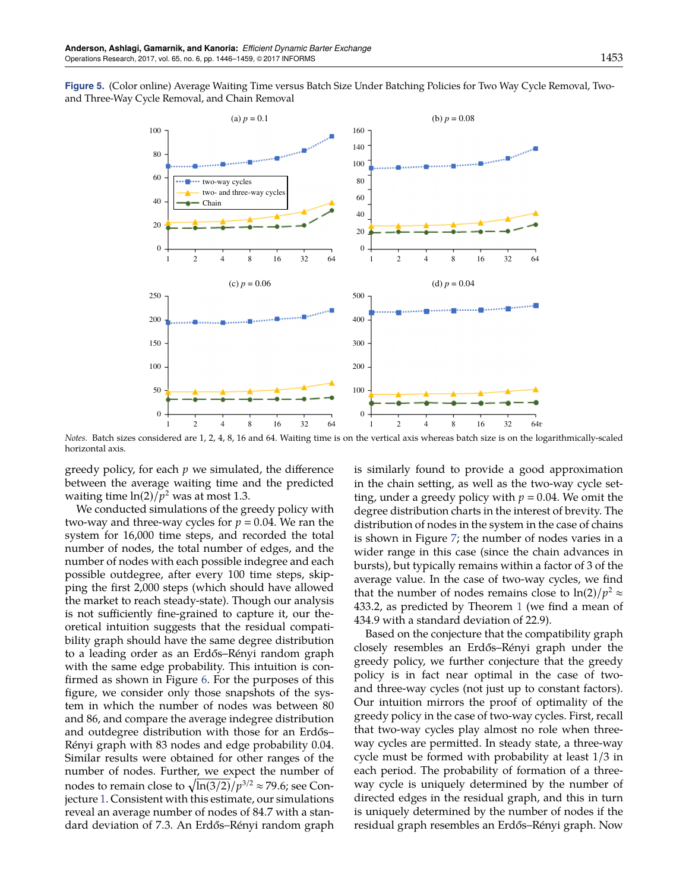

<span id="page-7-0"></span>

*Notes.* Batch sizes considered are 1, 2, 4, 8, 16 and 64. Waiting time is on the vertical axis whereas batch size is on the logarithmically-scaled horizontal axis.

greedy policy, for each *p* we simulated, the difference between the average waiting time and the predicted waiting time  $\ln(2)/p^2$  was at most 1.3.

We conducted simulations of the greedy policy with two-way and three-way cycles for  $p = 0.04$ . We ran the system for 16,000 time steps, and recorded the total number of nodes, the total number of edges, and the number of nodes with each possible indegree and each possible outdegree, after every 100 time steps, skipping the first 2,000 steps (which should have allowed the market to reach steady-state). Though our analysis is not sufficiently fine-grained to capture it, our theoretical intuition suggests that the residual compatibility graph should have the same degree distribution to a leading order as an Erdős–Rényi random graph with the same edge probability. This intuition is confirmed as shown in Figure [6.](#page-8-1) For the purposes of this figure, we consider only those snapshots of the system in which the number of nodes was between 80 and 86, and compare the average indegree distribution and outdegree distribution with those for an Erdős– Rényi graph with 83 nodes and edge probability 0.04. Similar results were obtained for other ranges of the number of nodes. Further, we expect the number of nodes to remain close to  $\sqrt{\ln(3/2)}/p^{3/2} \approx 79.6$ ; see Conjecture [1.](#page-11-1) Consistent with this estimate, our simulations reveal an average number of nodes of 84.7 with a standard deviation of 7.3. An Erdős–Rényi random graph is similarly found to provide a good approximation in the chain setting, as well as the two-way cycle setting, under a greedy policy with  $p = 0.04$ . We omit the degree distribution charts in the interest of brevity. The distribution of nodes in the system in the case of chains is shown in Figure [7;](#page-8-2) the number of nodes varies in a wider range in this case (since the chain advances in bursts), but typically remains within a factor of 3 of the average value. In the case of two-way cycles, we find that the number of nodes remains close to  $\ln(2)/p^2 \approx$ 433.2, as predicted by Theorem [1](#page-5-0) (we find a mean of 434.9 with a standard deviation of 22.9).

Based on the conjecture that the compatibility graph closely resembles an Erdős–Rényi graph under the greedy policy, we further conjecture that the greedy policy is in fact near optimal in the case of twoand three-way cycles (not just up to constant factors). Our intuition mirrors the proof of optimality of the greedy policy in the case of two-way cycles. First, recall that two-way cycles play almost no role when threeway cycles are permitted. In steady state, a three-way cycle must be formed with probability at least 1/3 in each period. The probability of formation of a threeway cycle is uniquely determined by the number of directed edges in the residual graph, and this in turn is uniquely determined by the number of nodes if the residual graph resembles an Erdős–Rényi graph. Now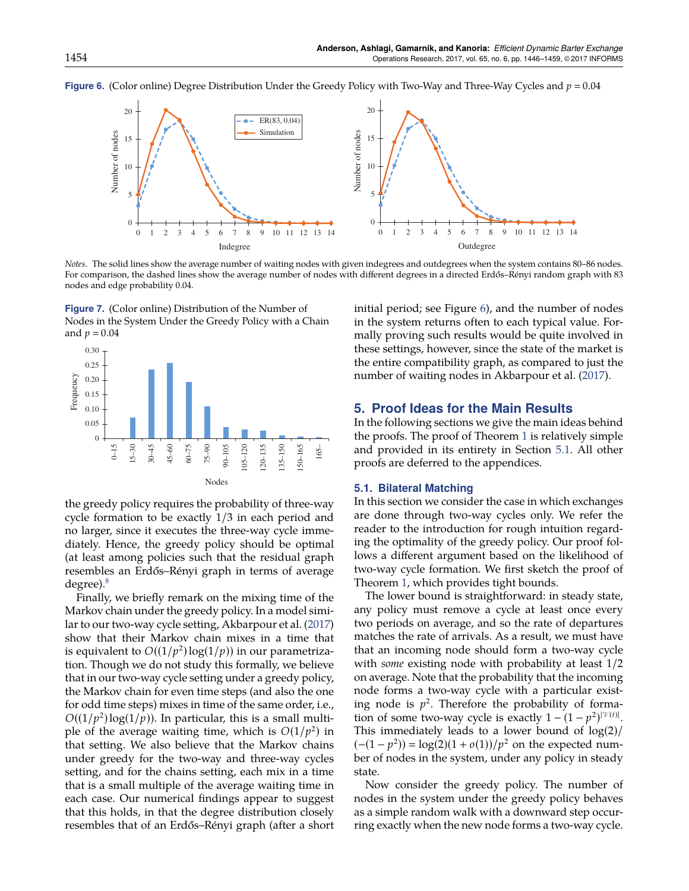<span id="page-8-1"></span>

**Figure 6.** (Color online) Degree Distribution Under the Greedy Policy with Two-Way and Three-Way Cycles and  $p = 0.04$ 

*Notes.* The solid lines show the average number of waiting nodes with given indegrees and outdegrees when the system contains 80–86 nodes. For comparison, the dashed lines show the average number of nodes with different degrees in a directed Erdős–Rényi random graph with 83 nodes and edge probability 0.04.

<span id="page-8-2"></span>**Figure 7.** (Color online) Distribution of the Number of Nodes in the System Under the Greedy Policy with a Chain and  $p = 0.04$ 



the greedy policy requires the probability of three-way cycle formation to be exactly 1/3 in each period and no larger, since it executes the three-way cycle immediately. Hence, the greedy policy should be optimal (at least among policies such that the residual graph resembles an Erdős–Rényi graph in terms of average degree).<sup>[8](#page-12-10)</sup>

<span id="page-8-3"></span>Finally, we briefly remark on the mixing time of the Markov chain under the greedy policy. In a model similar to our two-way cycle setting, Akbarpour et al. [\(2017\)](#page-12-1) show that their Markov chain mixes in a time that is equivalent to  $O((1/p^2) \log(1/p))$  in our parametrization. Though we do not study this formally, we believe that in our two-way cycle setting under a greedy policy, the Markov chain for even time steps (and also the one for odd time steps) mixes in time of the same order, i.e.,  $O((1/p^2) \log(1/p))$ . In particular, this is a small multiple of the average waiting time, which is  $O(1/p^2)$  in that setting. We also believe that the Markov chains under greedy for the two-way and three-way cycles setting, and for the chains setting, each mix in a time that is a small multiple of the average waiting time in each case. Our numerical findings appear to suggest that this holds, in that the degree distribution closely resembles that of an Erdős–Rényi graph (after a short initial period; see Figure [6\)](#page-8-1), and the number of nodes in the system returns often to each typical value. Formally proving such results would be quite involved in these settings, however, since the state of the market is the entire compatibility graph, as compared to just the number of waiting nodes in Akbarpour et al. [\(2017\)](#page-12-1).

# **5. Proof Ideas for the Main Results**

In the following sections we give the main ideas behind the proofs. The proof of Theorem [1](#page-5-0) is relatively simple and provided in its entirety in Section [5.1.](#page-8-0) All other proofs are deferred to the appendices.

## <span id="page-8-0"></span>**5.1. Bilateral Matching**

In this section we consider the case in which exchanges are done through two-way cycles only. We refer the reader to the introduction for rough intuition regarding the optimality of the greedy policy. Our proof follows a different argument based on the likelihood of two-way cycle formation. We first sketch the proof of Theorem [1,](#page-5-0) which provides tight bounds.

The lower bound is straightforward: in steady state, any policy must remove a cycle at least once every two periods on average, and so the rate of departures matches the rate of arrivals. As a result, we must have that an incoming node should form a two-way cycle with *some* existing node with probability at least 1/2 on average. Note that the probability that the incoming node forms a two-way cycle with a particular existing node is  $p^2$ . Therefore the probability of formation of some two-way cycle is exactly  $1 - (1 - p^2)^{|\mathcal{V}(t)|}$ . This immediately leads to a lower bound of  $log(2)$ /  $(-(1-p^2)) = \log(2)(1+o(1))/p^2$  on the expected number of nodes in the system, under any policy in steady state.

Now consider the greedy policy. The number of nodes in the system under the greedy policy behaves as a simple random walk with a downward step occurring exactly when the new node forms a two-way cycle.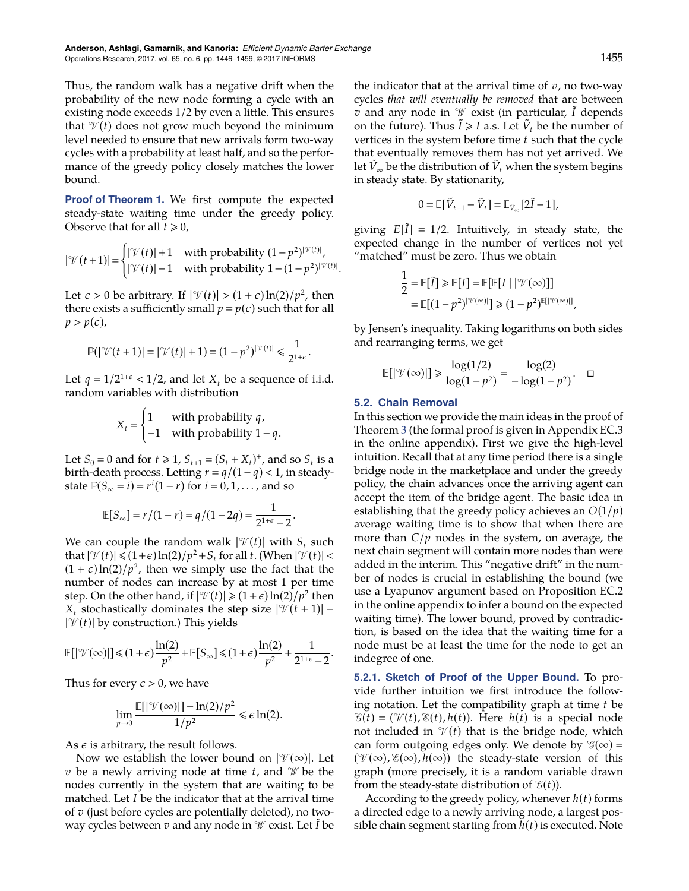Thus, the random walk has a negative drift when the probability of the new node forming a cycle with an existing node exceeds 1/2 by even a little. This ensures that  $\mathcal{V}(t)$  does not grow much beyond the minimum level needed to ensure that new arrivals form two-way cycles with a probability at least half, and so the performance of the greedy policy closely matches the lower bound.

**Proof of Theorem [1.](#page-5-0)** We first compute the expected steady-state waiting time under the greedy policy. Observe that for all  $t \ge 0$ ,

$$
|\mathcal{V}(t+1)| = \begin{cases} |\mathcal{V}(t)| + 1 & \text{with probability } (1 - p^2)^{|\mathcal{V}(t)|}, \\ |\mathcal{V}(t)| - 1 & \text{with probability } 1 - (1 - p^2)^{|\mathcal{V}(t)|}. \end{cases}
$$

Let  $\epsilon > 0$  be arbitrary. If  $|\mathcal{V}(t)| > (1 + \epsilon) \ln(2)/p^2$ , then there exists a sufficiently small  $p = p(\epsilon)$  such that for all  $p > p(\epsilon)$ ,

$$
\mathbb{P}(|\mathcal{V}(t+1)|=|\mathcal{V}(t)|+1)=(1-p^2)^{|\mathcal{V}(t)|}\leq \frac{1}{2^{1+\epsilon}}.
$$

Let  $q = 1/2^{1+\epsilon} < 1/2$ , and let  $X_t$  be a sequence of i.i.d. random variables with distribution

$$
X_t = \begin{cases} 1 & \text{with probability } q, \\ -1 & \text{with probability } 1 - q. \end{cases}
$$

Let  $S_0 = 0$  and for  $t \ge 1$ ,  $S_{t+1} = (S_t + X_t)^+$ , and so  $S_t$  is a birth-death process. Letting  $r = q/(1 - q) < 1$ , in steadystate  $\mathbb{P}(S_{\infty} = i) = r^{i}(1 - r)$  for *i* = 0, 1, . . . , and so

$$
\mathbb{E}[S_{\infty}] = r/(1-r) = q/(1-2q) = \frac{1}{2^{1+\epsilon}-2}.
$$

We can couple the random walk  $|\mathcal{V}(t)|$  with  $S_t$  such that  $|\mathcal{V}(t)| \leq (1+\epsilon)\ln(2)/p^2 + S_t$  for all *t*. (When  $|\mathcal{V}(t)| <$  $(1 + \epsilon) \ln(2)/p^2$ , then we simply use the fact that the number of nodes can increase by at most 1 per time step. On the other hand, if  $|\mathcal{V}(t)| \geqslant (1+\epsilon)\ln(2)/p^2$  then *X*<sup>*t*</sup> stochastically dominates the step size  $|\mathcal{V}(t+1)|$  –  $|\mathcal{V}(t)|$  by construction.) This yields

$$
\mathbb{E}[|\mathcal{V}(\infty)|] \leq (1+\epsilon)\frac{\ln(2)}{p^2} + \mathbb{E}[S_{\infty}] \leq (1+\epsilon)\frac{\ln(2)}{p^2} + \frac{1}{2^{1+\epsilon}-2}.
$$

Thus for every  $\epsilon > 0$ , we have

$$
\lim_{p\to 0}\frac{\mathbb{E}[|\mathcal{V}(\infty)|]-\ln(2)/p^2}{1/p^2}\leq \varepsilon \ln(2).
$$

As  $\epsilon$  is arbitrary, the result follows.

Now we establish the lower bound on  $|\mathcal{V}(\infty)|$ . Let *v* be a newly arriving node at time *t*, and W be the nodes currently in the system that are waiting to be matched. Let *I* be the indicator that at the arrival time of *v* (just before cycles are potentially deleted), no twoway cycles between *v* and any node in *W* exist. Let *I* be

the indicator that at the arrival time of  $v$ , no two-way cycles *that will eventually be removed* that are between *v* and any node in *W* exist (in particular, *I* depends on the future). Thus  $\tilde{I} \geq I$  a.s. Let  $\tilde{V}_t$  be the number of vertices in the system before time *t* such that the cycle that eventually removes them has not yet arrived. We let  $\tilde{V}_\infty$  be the distribution of  $\tilde{V}_t$  when the system begins in steady state. By stationarity,

$$
0 = \mathbb{E}[\tilde{V}_{t+1} - \tilde{V}_t] = \mathbb{E}_{\tilde{V}_{\infty}}[2\tilde{I} - 1],
$$

giving  $E[\tilde{I}] = 1/2$ . Intuitively, in steady state, the expected change in the number of vertices not yet "matched" must be zero. Thus we obtain

$$
\frac{1}{2} = \mathbb{E}[\tilde{I}] \ge \mathbb{E}[I] = \mathbb{E}[\mathbb{E}[I \mid |\mathcal{V}(\infty)]]
$$

$$
= \mathbb{E}[(1 - p^2)^{|\mathcal{V}(\infty)|}] \ge (1 - p^2)^{\mathbb{E}[\mathcal{V}(\infty)]},
$$

by Jensen's inequality. Taking logarithms on both sides and rearranging terms, we get

$$
\mathbb{E}[|\mathcal{V}(\infty)|] \ge \frac{\log(1/2)}{\log(1-p^2)} = \frac{\log(2)}{-\log(1-p^2)}. \quad \Box
$$

### <span id="page-9-0"></span>**5.2. Chain Removal**

In this section we provide the main ideas in the proof of Theorem [3](#page-6-1) (the formal proof is given in Appendix EC.3 in the online appendix). First we give the high-level intuition. Recall that at any time period there is a single bridge node in the marketplace and under the greedy policy, the chain advances once the arriving agent can accept the item of the bridge agent. The basic idea in establishing that the greedy policy achieves an *O*(1/*p*) average waiting time is to show that when there are more than *C*/*p* nodes in the system, on average, the next chain segment will contain more nodes than were added in the interim. This "negative drift" in the number of nodes is crucial in establishing the bound (we use a Lyapunov argument based on Proposition EC.2 in the online appendix to infer a bound on the expected waiting time). The lower bound, proved by contradiction, is based on the idea that the waiting time for a node must be at least the time for the node to get an indegree of one.

**5.2.1. Sketch of Proof of the Upper Bound.** To provide further intuition we first introduce the following notation. Let the compatibility graph at time *t* be  $\mathcal{G}(t) = (\mathcal{V}(t), \mathcal{E}(t), h(t))$ . Here  $h(t)$  is a special node not included in  $\mathcal{V}(t)$  that is the bridge node, which can form outgoing edges only. We denote by  $\mathcal{G}(\infty)$  =  $(\mathcal{V}(\infty), \mathcal{E}(\infty), h(\infty))$  the steady-state version of this graph (more precisely, it is a random variable drawn from the steady-state distribution of  $\mathcal{G}(t)$ ).

According to the greedy policy, whenever  $h(t)$  forms a directed edge to a newly arriving node, a largest possible chain segment starting from *h*(*t*) is executed. Note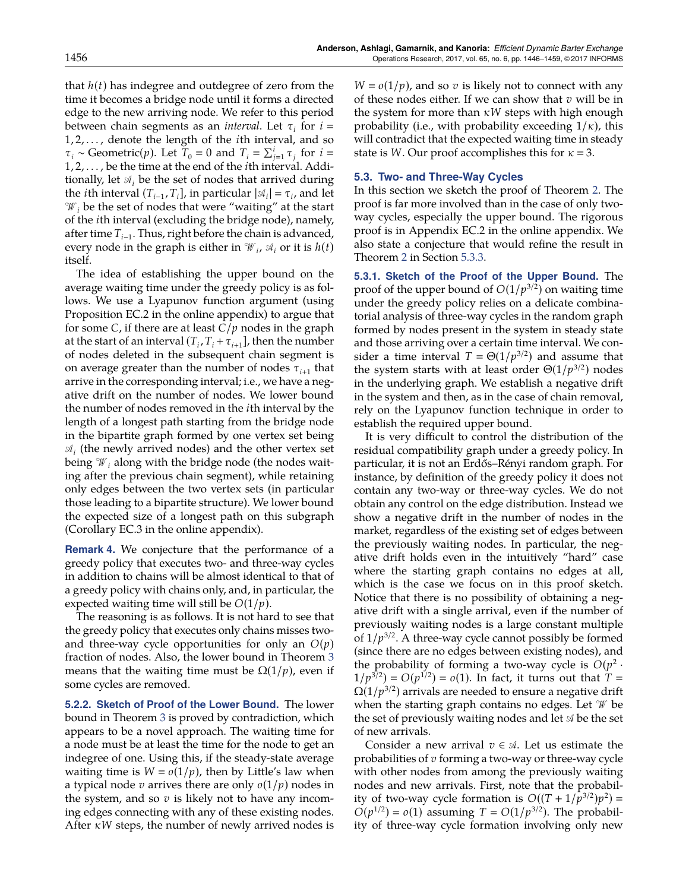that  $h(t)$  has indegree and outdegree of zero from the time it becomes a bridge node until it forms a directed edge to the new arriving node. We refer to this period between chain segments as an *interval*. Let  $\tau_i$  for  $i =$ 1, 2, . . . , denote the length of the *i*th interval, and so  $\tau_i$  ~ Geometric(*p*). Let  $\bar{T}_0 = 0$  and  $T_i = \sum_{j=1}^i \tau_j$  for  $i =$ 1, 2, . . . , be the time at the end of the *i*th interval. Additionally, let  $\mathcal{A}_i$  be the set of nodes that arrived during the *i*th interval  $(T_{i-1}, T_i]$ , in particular  $|\mathcal{A}_i| = \tau_i$ , and let  $\mathcal{W}_i$  be the set of nodes that were "waiting" at the start of the *i*th interval (excluding the bridge node), namely, after time *Ti*−<sup>1</sup> . Thus, right before the chain is advanced, every node in the graph is either in  $\mathcal{W}_i$ ,  $\mathcal{A}_i$  or it is  $h(t)$ itself.

The idea of establishing the upper bound on the average waiting time under the greedy policy is as follows. We use a Lyapunov function argument (using Proposition EC.2 in the online appendix) to argue that for some *C*, if there are at least *C*/*p* nodes in the graph at the start of an interval  $(T_i, T_i + \tau_{i+1}]$ , then the number of nodes deleted in the subsequent chain segment is on average greater than the number of nodes  $\tau_{_{I+1}}$  that arrive in the corresponding interval; i.e., we have a negative drift on the number of nodes. We lower bound the number of nodes removed in the *i*th interval by the length of a longest path starting from the bridge node in the bipartite graph formed by one vertex set being  $\mathcal{A}_i$  (the newly arrived nodes) and the other vertex set being  $\mathcal{W}_i$  along with the bridge node (the nodes waiting after the previous chain segment), while retaining only edges between the two vertex sets (in particular those leading to a bipartite structure). We lower bound the expected size of a longest path on this subgraph (Corollary EC.3 in the online appendix).

<span id="page-10-1"></span>**Remark 4.** We conjecture that the performance of a greedy policy that executes two- and three-way cycles in addition to chains will be almost identical to that of a greedy policy with chains only, and, in particular, the expected waiting time will still be *O*(1/*p*).

The reasoning is as follows. It is not hard to see that the greedy policy that executes only chains misses twoand three-way cycle opportunities for only an *O*(*p*) fraction of nodes. Also, the lower bound in Theorem [3](#page-6-1) means that the waiting time must be  $\Omega(1/p)$ , even if some cycles are removed.

**5.2.2. Sketch of Proof of the Lower Bound.** The lower bound in Theorem [3](#page-6-1) is proved by contradiction, which appears to be a novel approach. The waiting time for a node must be at least the time for the node to get an indegree of one. Using this, if the steady-state average waiting time is  $W = o(1/p)$ , then by Little's law when a typical node *v* arrives there are only  $o(1/p)$  nodes in the system, and so *v* is likely not to have any incoming edges connecting with any of these existing nodes. After κ*W* steps, the number of newly arrived nodes is  $W = o(1/p)$ , and so *v* is likely not to connect with any of these nodes either. If we can show that *v* will be in the system for more than κ*W* steps with high enough probability (i.e., with probability exceeding  $1/\kappa$ ), this will contradict that the expected waiting time in steady state is *W*. Our proof accomplishes this for  $\kappa = 3$ .

## <span id="page-10-0"></span>**5.3. Two- and Three-Way Cycles**

In this section we sketch the proof of Theorem [2.](#page-5-4) The proof is far more involved than in the case of only twoway cycles, especially the upper bound. The rigorous proof is in Appendix EC.2 in the online appendix. We also state a conjecture that would refine the result in Theorem [2](#page-5-4) in Section [5.3.3.](#page-11-2)

**5.3.1. Sketch of the Proof of the Upper Bound.** The proof of the upper bound of  $O(1/p^{3/2})$  on waiting time under the greedy policy relies on a delicate combinatorial analysis of three-way cycles in the random graph formed by nodes present in the system in steady state and those arriving over a certain time interval. We consider a time interval  $T = \Theta(1/p^{3/2})$  and assume that the system starts with at least order  $\Theta(1/p^{3/2})$  nodes in the underlying graph. We establish a negative drift in the system and then, as in the case of chain removal, rely on the Lyapunov function technique in order to establish the required upper bound.

It is very difficult to control the distribution of the residual compatibility graph under a greedy policy. In particular, it is not an Erdős–Rényi random graph. For instance, by definition of the greedy policy it does not contain any two-way or three-way cycles. We do not obtain any control on the edge distribution. Instead we show a negative drift in the number of nodes in the market, regardless of the existing set of edges between the previously waiting nodes. In particular, the negative drift holds even in the intuitively "hard" case where the starting graph contains no edges at all, which is the case we focus on in this proof sketch. Notice that there is no possibility of obtaining a negative drift with a single arrival, even if the number of previously waiting nodes is a large constant multiple of  $1/p^{3/2}$ . A three-way cycle cannot possibly be formed (since there are no edges between existing nodes), and the probability of forming a two-way cycle is  $O(p^2 + p^2)$  $1/p^{3/2}$ ) =  $O(p^{1/2}) = o(1)$ . In fact, it turns out that  $T =$  $\Omega(1/p^{3/2})$  arrivals are needed to ensure a negative drift when the starting graph contains no edges. Let  $\mathcal W$  be the set of previously waiting nodes and let  $\mathcal A$  be the set of new arrivals.

Consider a new arrival  $v \in \mathcal{A}$ . Let us estimate the probabilities of *v* forming a two-way or three-way cycle with other nodes from among the previously waiting nodes and new arrivals. First, note that the probability of two-way cycle formation is  $O((T + 1/p^{3/2})p^2) =$  $O(p^{1/2}) = o(1)$  assuming *T* =  $O(1/p^{3/2})$ . The probability of three-way cycle formation involving only new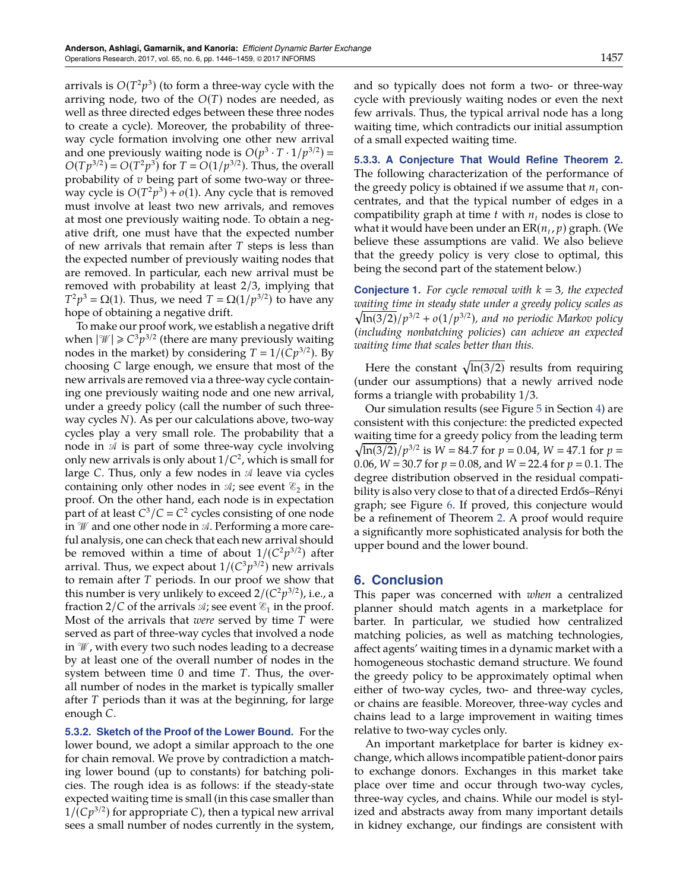arrivals is  $O(T^2p^3)$  (to form a three-way cycle with the arriving node, two of the *O*(*T*) nodes are needed, as well as three directed edges between these three nodes to create a cycle). Moreover, the probability of threeway cycle formation involving one other new arrival and one previously waiting node is  $O(p^3 \cdot T \cdot 1/p^{3/2})$  =  $O(Tp^{3/2}) = O(T^2p^3)$  for  $T = O(1/p^{3/2})$ . Thus, the overall probability of *v* being part of some two-way or threeway cycle is  $O(T^2p^3) + o(1)$ . Any cycle that is removed must involve at least two new arrivals, and removes at most one previously waiting node. To obtain a negative drift, one must have that the expected number of new arrivals that remain after *T* steps is less than the expected number of previously waiting nodes that are removed. In particular, each new arrival must be removed with probability at least 2/3, implying that  $T^2p^3 = \Omega(1)$ . Thus, we need  $T = \Omega(1/p^{3/2})$  to have any hope of obtaining a negative drift.

To make our proof work, we establish a negative drift when  $|\mathcal{W}| \geq C^3 p^{3/2}$  (there are many previously waiting nodes in the market) by considering  $T = 1/(\tilde{C}p^{3/2})$ . By choosing *C* large enough, we ensure that most of the new arrivals are removed via a three-way cycle containing one previously waiting node and one new arrival, under a greedy policy (call the number of such threeway cycles *N*). As per our calculations above, two-way cycles play a very small role. The probability that a node in  $\mathcal A$  is part of some three-way cycle involving only new arrivals is only about 1/*C* 2 , which is small for large  $C$ . Thus, only a few nodes in  $\mathcal A$  leave via cycles containing only other nodes in  $\mathcal{A}$ ; see event  $\mathcal{E}_2$  in the proof. On the other hand, each node is in expectation part of at least  $C^3/C = C^2$  cycles consisting of one node in  $\mathcal W$  and one other node in  $\mathcal A$ . Performing a more careful analysis, one can check that each new arrival should be removed within a time of about  $1/(C^2p^{3/2})$  after arrival. Thus, we expect about  $1/(C^3p^{3/2})$  new arrivals to remain after *T* periods. In our proof we show that this number is very unlikely to exceed  $2/(C^2p^{3/2})$ , i.e., a fraction 2/*C* of the arrivals  $\mathcal{A}$ ; see event  $\mathcal{E}_1$  in the proof. Most of the arrivals that *were* served by time *T* were served as part of three-way cycles that involved a node in  $\mathcal W$ , with every two such nodes leading to a decrease by at least one of the overall number of nodes in the system between time 0 and time *T*. Thus, the overall number of nodes in the market is typically smaller after *T* periods than it was at the beginning, for large enough *C*.

**5.3.2. Sketch of the Proof of the Lower Bound.** For the lower bound, we adopt a similar approach to the one for chain removal. We prove by contradiction a matching lower bound (up to constants) for batching policies. The rough idea is as follows: if the steady-state expected waiting time is small (in this case smaller than  $1/(\mathbb{C} p^{3/2})$  for appropriate *C*), then a typical new arrival sees a small number of nodes currently in the system,

and so typically does not form a two- or three-way cycle with previously waiting nodes or even the next few arrivals. Thus, the typical arrival node has a long waiting time, which contradicts our initial assumption of a small expected waiting time.

<span id="page-11-2"></span>**5.3.3. A Conjecture That Would Refine Theorem [2.](#page-5-4)** The following characterization of the performance of the greedy policy is obtained if we assume that  $n_t$  concentrates, and that the typical number of edges in a compatibility graph at time  $t$  with  $n_t$  nodes is close to what it would have been under an ER(*n<sup>t</sup>* , *p*) graph. (We believe these assumptions are valid. We also believe that the greedy policy is very close to optimal, this being the second part of the statement below.)

<span id="page-11-1"></span>**Conjecture 1.** For cycle removal with  $k = 3$ , the expected *waiting time in steady state under a greedy policy scales as*  $\sqrt{\ln(3/2)}/p^{3/2} + o(1/p^{3/2})$ , and no periodic Markov policy *(including nonbatching policies) can achieve an expected waiting time that scales better than this.*

Here the constant  $\sqrt{\ln(3/2)}$  results from requiring (under our assumptions) that a newly arrived node forms a triangle with probability 1/3.

Our simulation results (see Figure [5](#page-7-0) in Section [4\)](#page-6-0) are consistent with this conjecture: the predicted expected waiting time for a greedy policy from the leading term  $\sqrt{\ln(3/2)}/p^{3/2}$  is  $W = 84.7$  for  $p = 0.04$ ,  $W = 47.1$  for  $p =$ 0.06,  $W = 30.7$  for  $p = 0.08$ , and  $W = 22.4$  for  $p = 0.1$ . The degree distribution observed in the residual compatibility is also very close to that of a directed Erdős–Rényi graph; see Figure [6.](#page-8-1) If proved, this conjecture would be a refinement of Theorem [2.](#page-5-4) A proof would require a significantly more sophisticated analysis for both the upper bound and the lower bound.

## <span id="page-11-0"></span>**6. Conclusion**

This paper was concerned with *when* a centralized planner should match agents in a marketplace for barter. In particular, we studied how centralized matching policies, as well as matching technologies, affect agents' waiting times in a dynamic market with a homogeneous stochastic demand structure. We found the greedy policy to be approximately optimal when either of two-way cycles, two- and three-way cycles, or chains are feasible. Moreover, three-way cycles and chains lead to a large improvement in waiting times relative to two-way cycles only.

An important marketplace for barter is kidney exchange, which allows incompatible patient-donor pairs to exchange donors. Exchanges in this market take place over time and occur through two-way cycles, three-way cycles, and chains. While our model is stylized and abstracts away from many important details in kidney exchange, our findings are consistent with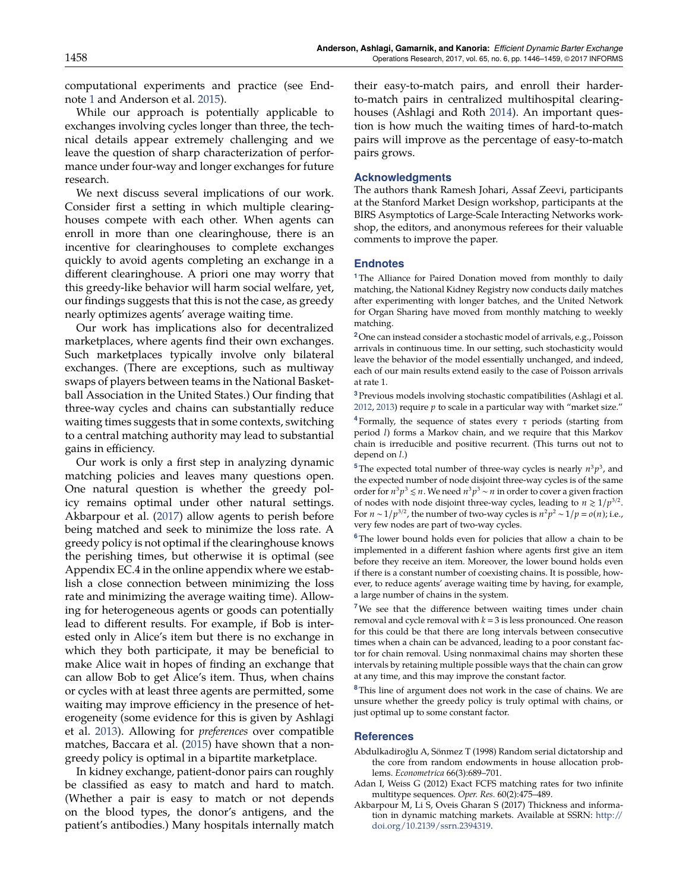computational experiments and practice (see Endnote [1](#page-12-0) and Anderson et al. [2015\)](#page-13-2).

While our approach is potentially applicable to exchanges involving cycles longer than three, the technical details appear extremely challenging and we leave the question of sharp characterization of performance under four-way and longer exchanges for future research.

We next discuss several implications of our work. Consider first a setting in which multiple clearinghouses compete with each other. When agents can enroll in more than one clearinghouse, there is an incentive for clearinghouses to complete exchanges quickly to avoid agents completing an exchange in a different clearinghouse. A priori one may worry that this greedy-like behavior will harm social welfare, yet, our findings suggests that this is not the case, as greedy nearly optimizes agents' average waiting time.

Our work has implications also for decentralized marketplaces, where agents find their own exchanges. Such marketplaces typically involve only bilateral exchanges. (There are exceptions, such as multiway swaps of players between teams in the National Basketball Association in the United States.) Our finding that three-way cycles and chains can substantially reduce waiting times suggests that in some contexts, switching to a central matching authority may lead to substantial gains in efficiency.

Our work is only a first step in analyzing dynamic matching policies and leaves many questions open. One natural question is whether the greedy policy remains optimal under other natural settings. Akbarpour et al. [\(2017\)](#page-12-1) allow agents to perish before being matched and seek to minimize the loss rate. A greedy policy is not optimal if the clearinghouse knows the perishing times, but otherwise it is optimal (see Appendix EC.4 in the online appendix where we establish a close connection between minimizing the loss rate and minimizing the average waiting time). Allowing for heterogeneous agents or goods can potentially lead to different results. For example, if Bob is interested only in Alice's item but there is no exchange in which they both participate, it may be beneficial to make Alice wait in hopes of finding an exchange that can allow Bob to get Alice's item. Thus, when chains or cycles with at least three agents are permitted, some waiting may improve efficiency in the presence of heterogeneity (some evidence for this is given by Ashlagi et al. [2013\)](#page-13-6). Allowing for *preferences* over compatible matches, Baccara et al. [\(2015\)](#page-13-28) have shown that a nongreedy policy is optimal in a bipartite marketplace.

In kidney exchange, patient-donor pairs can roughly be classified as easy to match and hard to match. (Whether a pair is easy to match or not depends on the blood types, the donor's antigens, and the patient's antibodies.) Many hospitals internally match

their easy-to-match pairs, and enroll their harderto-match pairs in centralized multihospital clearinghouses (Ashlagi and Roth [2014\)](#page-13-29). An important question is how much the waiting times of hard-to-match pairs will improve as the percentage of easy-to-match pairs grows.

#### **Acknowledgments**

The authors thank Ramesh Johari, Assaf Zeevi, participants at the Stanford Market Design workshop, participants at the BIRS Asymptotics of Large-Scale Interacting Networks workshop, the editors, and anonymous referees for their valuable comments to improve the paper.

## **Endnotes**

<span id="page-12-0"></span>**[1](#page-0-0)**The Alliance for Paired Donation moved from monthly to daily matching, the National Kidney Registry now conducts daily matches after experimenting with longer batches, and the United Network for Organ Sharing have moved from monthly matching to weekly matching.

<span id="page-12-4"></span>**[2](#page-3-1)**One can instead consider a stochastic model of arrivals, e.g., Poisson arrivals in continuous time. In our setting, such stochasticity would leave the behavior of the model essentially unchanged, and indeed, each of our main results extend easily to the case of Poisson arrivals at rate 1.

<span id="page-12-5"></span>**[3](#page-4-2)**Previous models involving stochastic compatibilities (Ashlagi et al. [2012,](#page-13-5) [2013\)](#page-13-6) require *p* to scale in a particular way with "market size."

<span id="page-12-6"></span>**[4](#page-4-3)** Formally, the sequence of states every τ periods (starting from period *l*) forms a Markov chain, and we require that this Markov chain is irreducible and positive recurrent. (This turns out not to depend on *l*.)

<span id="page-12-7"></span><sup>[5](#page-6-2)</sup>The expected total number of three-way cycles is nearly  $n^3p^3$ , and the expected number of node disjoint three-way cycles is of the same order for  $n^3p^3$  ≲ *n*. We need  $n^3p^3$  ∼ *n* in order to cover a given fraction of nodes with node disjoint three-way cycles, leading to  $n \geq 1/p^{3/2}$ . For *n* ~  $1/p^{3/2}$ , the number of two-way cycles is  $n^2p^2 \sim 1/p = o(n)$ ; i.e., very few nodes are part of two-way cycles.

<span id="page-12-8"></span>**[6](#page-6-3)**The lower bound holds even for policies that allow a chain to be implemented in a different fashion where agents first give an item before they receive an item. Moreover, the lower bound holds even if there is a constant number of coexisting chains. It is possible, however, to reduce agents' average waiting time by having, for example, a large number of chains in the system.

<span id="page-12-9"></span><sup>[7](#page-6-4)</sup>We see that the difference between waiting times under chain removal and cycle removal with  $k = 3$  is less pronounced. One reason for this could be that there are long intervals between consecutive times when a chain can be advanced, leading to a poor constant factor for chain removal. Using nonmaximal chains may shorten these intervals by retaining multiple possible ways that the chain can grow at any time, and this may improve the constant factor.

<span id="page-12-10"></span>**[8](#page-8-3)**This line of argument does not work in the case of chains. We are unsure whether the greedy policy is truly optimal with chains, or just optimal up to some constant factor.

### **References**

- <span id="page-12-3"></span>Abdulkadiroğlu A, Sönmez T (1998) Random serial dictatorship and the core from random endowments in house allocation problems. *Econometrica* 66(3):689–701.
- <span id="page-12-2"></span>Adan I, Weiss G (2012) Exact FCFS matching rates for two infinite multitype sequences. *Oper. Res.* 60(2):475–489.
- <span id="page-12-1"></span>Akbarpour M, Li S, Oveis Gharan S (2017) Thickness and information in dynamic matching markets. Available at SSRN: [http://](http://doi.org/10.2139/ssrn.2394319) [doi.org/10.2139/ssrn.2394319.](http://doi.org/10.2139/ssrn.2394319)